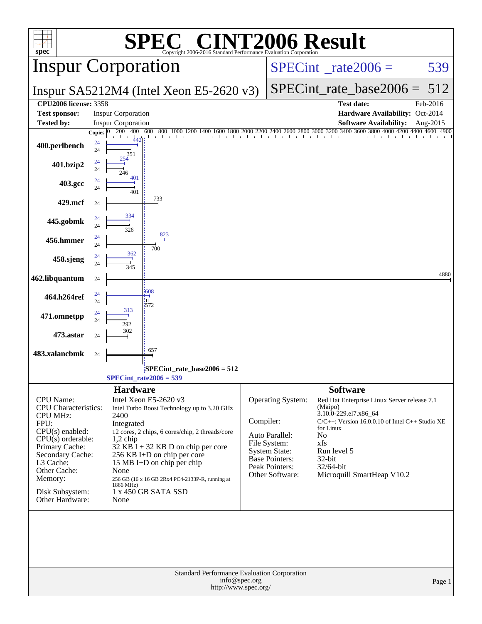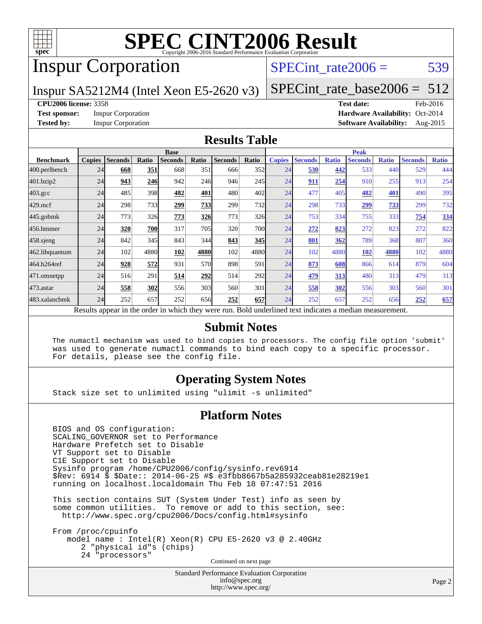

# Inspur Corporation

### SPECint rate $2006 = 539$

Inspur SA5212M4 (Intel Xeon E5-2620 v3)

[SPECint\\_rate\\_base2006 =](http://www.spec.org/auto/cpu2006/Docs/result-fields.html#SPECintratebase2006)  $512$ 

#### **[CPU2006 license:](http://www.spec.org/auto/cpu2006/Docs/result-fields.html#CPU2006license)** 3358 **[Test date:](http://www.spec.org/auto/cpu2006/Docs/result-fields.html#Testdate)** Feb-2016

**[Test sponsor:](http://www.spec.org/auto/cpu2006/Docs/result-fields.html#Testsponsor)** Inspur Corporation **[Hardware Availability:](http://www.spec.org/auto/cpu2006/Docs/result-fields.html#HardwareAvailability)** Oct-2014 **[Tested by:](http://www.spec.org/auto/cpu2006/Docs/result-fields.html#Testedby)** Inspur Corporation **[Software Availability:](http://www.spec.org/auto/cpu2006/Docs/result-fields.html#SoftwareAvailability)** Aug-2015

#### **[Results Table](http://www.spec.org/auto/cpu2006/Docs/result-fields.html#ResultsTable)**

|                  |               |                |       | <b>Base</b>                                                                                              |            |                |            |               |                |              | <b>Peak</b>    |              |                |              |
|------------------|---------------|----------------|-------|----------------------------------------------------------------------------------------------------------|------------|----------------|------------|---------------|----------------|--------------|----------------|--------------|----------------|--------------|
| <b>Benchmark</b> | <b>Copies</b> | <b>Seconds</b> | Ratio | <b>Seconds</b>                                                                                           | Ratio      | <b>Seconds</b> | Ratio      | <b>Copies</b> | <b>Seconds</b> | <b>Ratio</b> | <b>Seconds</b> | <b>Ratio</b> | <b>Seconds</b> | <b>Ratio</b> |
| 400.perlbench    | 24            | 668            | 351   | 668                                                                                                      | 351        | 666            | 352        | 24            | 530            | 442          | 533            | 440          | 529            | 444          |
| 401.bzip2        | 24            | 943            | 246   | 942                                                                                                      | 246        | 946            | 245        | 24            | 911            | 254          | 910            | 255          | 913            | 254          |
| $403.\text{gcc}$ | 24            | 485            | 398   | 482                                                                                                      | 401        | 480            | 402        | 24            | 477            | 405          | 482            | 401          | 490            | 395          |
| $429$ .mcf       | 24            | 298            | 733   | 299                                                                                                      | <u>733</u> | 299            | <b>732</b> | 24            | 298            | 733          | 299            | <u>733</u>   | 299            | 732          |
| $445$ .gobmk     | 24            | 773            | 326   | 773                                                                                                      | 326        | 773            | <b>326</b> | 24            | 753            | 334          | 755            | 333          | 754            | 334          |
| 456.hmmer        | 24            | 320            | 700   | 317                                                                                                      | 705        | 320            | <b>700</b> | 24            | 272            | 823          | 272            | 823          | 272            | 822          |
| $458$ .sjeng     | 24            | 842            | 345   | 843                                                                                                      | 344        | 843            | 345        | 24            | 801            | 362          | 789            | 368          | 807            | 360          |
| 462.libquantum   | 24            | 102            | 4880  | 102                                                                                                      | 4880       | 102            | 4880       | 24            | 102            | 4880         | 102            | 4880         | 102            | 4880         |
| 464.h264ref      | 24            | 928            | 572   | 931                                                                                                      | 570        | 898            | 591        | 24            | 873            | 608          | 866            | 614          | 879            | 604          |
| 471.omnetpp      | 24            | 516            | 291   | 514                                                                                                      | 292        | 514            | 292l       | 24            | 479            | 313          | 480            | 313          | 479            | 313          |
| 473.astar        | 24            | 558            | 302   | 556                                                                                                      | 303        | 560            | 301        | 24            | 558            | 302          | 556            | 303          | 560            | 301          |
| 483.xalancbmk    | 24            | 252            | 657   | 252                                                                                                      | 656        | 252            | 657        | 24            | 252            | 657          | 252            | 656          | 252            | 657          |
|                  |               |                |       | Results appear in the order in which they were run. Bold underlined text indicates a median measurement. |            |                |            |               |                |              |                |              |                |              |

### **[Submit Notes](http://www.spec.org/auto/cpu2006/Docs/result-fields.html#SubmitNotes)**

 The numactl mechanism was used to bind copies to processors. The config file option 'submit' was used to generate numactl commands to bind each copy to a specific processor. For details, please see the config file.

### **[Operating System Notes](http://www.spec.org/auto/cpu2006/Docs/result-fields.html#OperatingSystemNotes)**

Stack size set to unlimited using "ulimit -s unlimited"

#### **[Platform Notes](http://www.spec.org/auto/cpu2006/Docs/result-fields.html#PlatformNotes)**

 BIOS and OS configuration: SCALING\_GOVERNOR set to Performance Hardware Prefetch set to Disable VT Support set to Disable C1E Support set to Disable Sysinfo program /home/CPU2006/config/sysinfo.rev6914 \$Rev: 6914 \$ \$Date:: 2014-06-25 #\$ e3fbb8667b5a285932ceab81e28219e1 running on localhost.localdomain Thu Feb 18 07:47:51 2016

 This section contains SUT (System Under Test) info as seen by some common utilities. To remove or add to this section, see: <http://www.spec.org/cpu2006/Docs/config.html#sysinfo>

 From /proc/cpuinfo model name : Intel(R) Xeon(R) CPU E5-2620 v3 @ 2.40GHz 2 "physical id"s (chips) 24 "processors" Continued on next page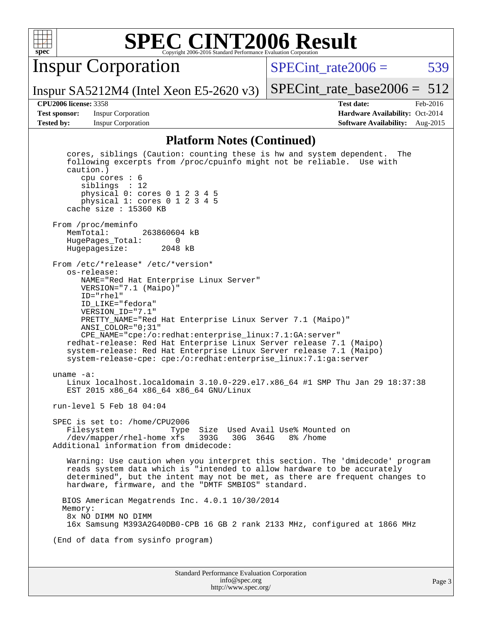

Inspur Corporation

Inspur SA5212M4 (Intel Xeon E5-2620 v3)

SPECint rate $2006 = 539$ 

[SPECint\\_rate\\_base2006 =](http://www.spec.org/auto/cpu2006/Docs/result-fields.html#SPECintratebase2006) 512

**[Test sponsor:](http://www.spec.org/auto/cpu2006/Docs/result-fields.html#Testsponsor)** Inspur Corporation **[Hardware Availability:](http://www.spec.org/auto/cpu2006/Docs/result-fields.html#HardwareAvailability)** Oct-2014

**[CPU2006 license:](http://www.spec.org/auto/cpu2006/Docs/result-fields.html#CPU2006license)** 3358 **[Test date:](http://www.spec.org/auto/cpu2006/Docs/result-fields.html#Testdate)** Feb-2016 **[Tested by:](http://www.spec.org/auto/cpu2006/Docs/result-fields.html#Testedby)** Inspur Corporation **[Software Availability:](http://www.spec.org/auto/cpu2006/Docs/result-fields.html#SoftwareAvailability)** Aug-2015

#### **[Platform Notes \(Continued\)](http://www.spec.org/auto/cpu2006/Docs/result-fields.html#PlatformNotes)**

Standard Performance Evaluation Corporation [info@spec.org](mailto:info@spec.org) cores, siblings (Caution: counting these is hw and system dependent. The following excerpts from /proc/cpuinfo might not be reliable. Use with caution.) cpu cores : 6 siblings : 12 physical 0: cores 0 1 2 3 4 5 physical 1: cores 0 1 2 3 4 5 cache size : 15360 KB From /proc/meminfo<br>MemTotal: 263860604 kB HugePages\_Total: 0 Hugepagesize: 2048 kB From /etc/\*release\* /etc/\*version\* os-release: NAME="Red Hat Enterprise Linux Server" VERSION="7.1 (Maipo)" ID="rhel" ID\_LIKE="fedora" VERSION\_ID="7.1" PRETTY\_NAME="Red Hat Enterprise Linux Server 7.1 (Maipo)" ANSI\_COLOR="0;31" CPE\_NAME="cpe:/o:redhat:enterprise\_linux:7.1:GA:server" redhat-release: Red Hat Enterprise Linux Server release 7.1 (Maipo) system-release: Red Hat Enterprise Linux Server release 7.1 (Maipo) system-release-cpe: cpe:/o:redhat:enterprise\_linux:7.1:ga:server uname -a: Linux localhost.localdomain 3.10.0-229.el7.x86\_64 #1 SMP Thu Jan 29 18:37:38 EST 2015 x86\_64 x86\_64 x86\_64 GNU/Linux run-level 5 Feb 18 04:04 SPEC is set to: /home/CPU2006 Filesystem Type Size Used Avail Use% Mounted on /dev/mapper/rhel-home xfs 393G 30G 364G 8% /home Additional information from dmidecode: Warning: Use caution when you interpret this section. The 'dmidecode' program reads system data which is "intended to allow hardware to be accurately determined", but the intent may not be met, as there are frequent changes to hardware, firmware, and the "DMTF SMBIOS" standard. BIOS American Megatrends Inc. 4.0.1 10/30/2014 Memory: 8x NO DIMM NO DIMM 16x Samsung M393A2G40DB0-CPB 16 GB 2 rank 2133 MHz, configured at 1866 MHz (End of data from sysinfo program)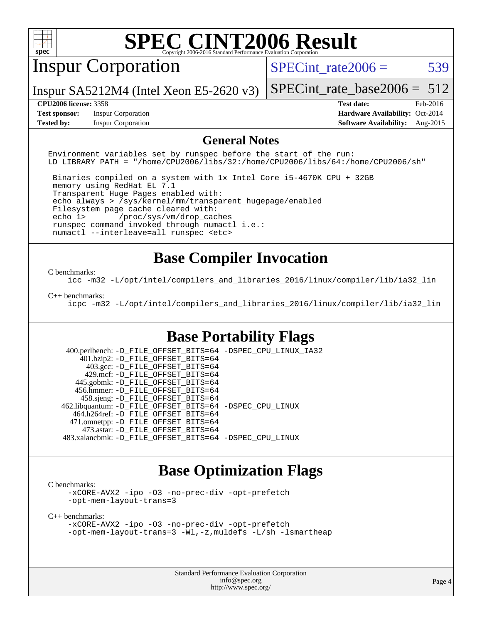

# Inspur Corporation

SPECint rate $2006 = 539$ 

Inspur SA5212M4 (Intel Xeon E5-2620 v3)

[SPECint\\_rate\\_base2006 =](http://www.spec.org/auto/cpu2006/Docs/result-fields.html#SPECintratebase2006) 512

**[Test sponsor:](http://www.spec.org/auto/cpu2006/Docs/result-fields.html#Testsponsor)** Inspur Corporation **[Hardware Availability:](http://www.spec.org/auto/cpu2006/Docs/result-fields.html#HardwareAvailability)** Oct-2014

**[CPU2006 license:](http://www.spec.org/auto/cpu2006/Docs/result-fields.html#CPU2006license)** 3358 **[Test date:](http://www.spec.org/auto/cpu2006/Docs/result-fields.html#Testdate)** Feb-2016 **[Tested by:](http://www.spec.org/auto/cpu2006/Docs/result-fields.html#Testedby)** Inspur Corporation **[Software Availability:](http://www.spec.org/auto/cpu2006/Docs/result-fields.html#SoftwareAvailability)** Aug-2015

### **[General Notes](http://www.spec.org/auto/cpu2006/Docs/result-fields.html#GeneralNotes)**

Environment variables set by runspec before the start of the run: LD\_LIBRARY\_PATH = "/home/CPU2006/libs/32:/home/CPU2006/libs/64:/home/CPU2006/sh"

 Binaries compiled on a system with 1x Intel Core i5-4670K CPU + 32GB memory using RedHat EL 7.1 Transparent Huge Pages enabled with: echo always > /sys/kernel/mm/transparent\_hugepage/enabled Filesystem page cache cleared with: echo 1> /proc/sys/vm/drop\_caches runspec command invoked through numactl i.e.: numactl --interleave=all runspec <etc>

## **[Base Compiler Invocation](http://www.spec.org/auto/cpu2006/Docs/result-fields.html#BaseCompilerInvocation)**

#### [C benchmarks](http://www.spec.org/auto/cpu2006/Docs/result-fields.html#Cbenchmarks):

[icc -m32 -L/opt/intel/compilers\\_and\\_libraries\\_2016/linux/compiler/lib/ia32\\_lin](http://www.spec.org/cpu2006/results/res2016q1/cpu2006-20160307-39061.flags.html#user_CCbase_intel_icc_e10256ba5924b668798078a321b0cb3f)

#### [C++ benchmarks:](http://www.spec.org/auto/cpu2006/Docs/result-fields.html#CXXbenchmarks)

[icpc -m32 -L/opt/intel/compilers\\_and\\_libraries\\_2016/linux/compiler/lib/ia32\\_lin](http://www.spec.org/cpu2006/results/res2016q1/cpu2006-20160307-39061.flags.html#user_CXXbase_intel_icpc_b4f50a394bdb4597aa5879c16bc3f5c5)

## **[Base Portability Flags](http://www.spec.org/auto/cpu2006/Docs/result-fields.html#BasePortabilityFlags)**

 400.perlbench: [-D\\_FILE\\_OFFSET\\_BITS=64](http://www.spec.org/cpu2006/results/res2016q1/cpu2006-20160307-39061.flags.html#user_basePORTABILITY400_perlbench_file_offset_bits_64_438cf9856305ebd76870a2c6dc2689ab) [-DSPEC\\_CPU\\_LINUX\\_IA32](http://www.spec.org/cpu2006/results/res2016q1/cpu2006-20160307-39061.flags.html#b400.perlbench_baseCPORTABILITY_DSPEC_CPU_LINUX_IA32) 401.bzip2: [-D\\_FILE\\_OFFSET\\_BITS=64](http://www.spec.org/cpu2006/results/res2016q1/cpu2006-20160307-39061.flags.html#user_basePORTABILITY401_bzip2_file_offset_bits_64_438cf9856305ebd76870a2c6dc2689ab) 403.gcc: [-D\\_FILE\\_OFFSET\\_BITS=64](http://www.spec.org/cpu2006/results/res2016q1/cpu2006-20160307-39061.flags.html#user_basePORTABILITY403_gcc_file_offset_bits_64_438cf9856305ebd76870a2c6dc2689ab) 429.mcf: [-D\\_FILE\\_OFFSET\\_BITS=64](http://www.spec.org/cpu2006/results/res2016q1/cpu2006-20160307-39061.flags.html#user_basePORTABILITY429_mcf_file_offset_bits_64_438cf9856305ebd76870a2c6dc2689ab) 445.gobmk: [-D\\_FILE\\_OFFSET\\_BITS=64](http://www.spec.org/cpu2006/results/res2016q1/cpu2006-20160307-39061.flags.html#user_basePORTABILITY445_gobmk_file_offset_bits_64_438cf9856305ebd76870a2c6dc2689ab) 456.hmmer: [-D\\_FILE\\_OFFSET\\_BITS=64](http://www.spec.org/cpu2006/results/res2016q1/cpu2006-20160307-39061.flags.html#user_basePORTABILITY456_hmmer_file_offset_bits_64_438cf9856305ebd76870a2c6dc2689ab) 458.sjeng: [-D\\_FILE\\_OFFSET\\_BITS=64](http://www.spec.org/cpu2006/results/res2016q1/cpu2006-20160307-39061.flags.html#user_basePORTABILITY458_sjeng_file_offset_bits_64_438cf9856305ebd76870a2c6dc2689ab) 462.libquantum: [-D\\_FILE\\_OFFSET\\_BITS=64](http://www.spec.org/cpu2006/results/res2016q1/cpu2006-20160307-39061.flags.html#user_basePORTABILITY462_libquantum_file_offset_bits_64_438cf9856305ebd76870a2c6dc2689ab) [-DSPEC\\_CPU\\_LINUX](http://www.spec.org/cpu2006/results/res2016q1/cpu2006-20160307-39061.flags.html#b462.libquantum_baseCPORTABILITY_DSPEC_CPU_LINUX) 464.h264ref: [-D\\_FILE\\_OFFSET\\_BITS=64](http://www.spec.org/cpu2006/results/res2016q1/cpu2006-20160307-39061.flags.html#user_basePORTABILITY464_h264ref_file_offset_bits_64_438cf9856305ebd76870a2c6dc2689ab) 471.omnetpp: [-D\\_FILE\\_OFFSET\\_BITS=64](http://www.spec.org/cpu2006/results/res2016q1/cpu2006-20160307-39061.flags.html#user_basePORTABILITY471_omnetpp_file_offset_bits_64_438cf9856305ebd76870a2c6dc2689ab) 473.astar: [-D\\_FILE\\_OFFSET\\_BITS=64](http://www.spec.org/cpu2006/results/res2016q1/cpu2006-20160307-39061.flags.html#user_basePORTABILITY473_astar_file_offset_bits_64_438cf9856305ebd76870a2c6dc2689ab) 483.xalancbmk: [-D\\_FILE\\_OFFSET\\_BITS=64](http://www.spec.org/cpu2006/results/res2016q1/cpu2006-20160307-39061.flags.html#user_basePORTABILITY483_xalancbmk_file_offset_bits_64_438cf9856305ebd76870a2c6dc2689ab) [-DSPEC\\_CPU\\_LINUX](http://www.spec.org/cpu2006/results/res2016q1/cpu2006-20160307-39061.flags.html#b483.xalancbmk_baseCXXPORTABILITY_DSPEC_CPU_LINUX)

### **[Base Optimization Flags](http://www.spec.org/auto/cpu2006/Docs/result-fields.html#BaseOptimizationFlags)**

[C benchmarks](http://www.spec.org/auto/cpu2006/Docs/result-fields.html#Cbenchmarks):

[-xCORE-AVX2](http://www.spec.org/cpu2006/results/res2016q1/cpu2006-20160307-39061.flags.html#user_CCbase_f-xAVX2_5f5fc0cbe2c9f62c816d3e45806c70d7) [-ipo](http://www.spec.org/cpu2006/results/res2016q1/cpu2006-20160307-39061.flags.html#user_CCbase_f-ipo) [-O3](http://www.spec.org/cpu2006/results/res2016q1/cpu2006-20160307-39061.flags.html#user_CCbase_f-O3) [-no-prec-div](http://www.spec.org/cpu2006/results/res2016q1/cpu2006-20160307-39061.flags.html#user_CCbase_f-no-prec-div) [-opt-prefetch](http://www.spec.org/cpu2006/results/res2016q1/cpu2006-20160307-39061.flags.html#user_CCbase_f-opt-prefetch) [-opt-mem-layout-trans=3](http://www.spec.org/cpu2006/results/res2016q1/cpu2006-20160307-39061.flags.html#user_CCbase_f-opt-mem-layout-trans_a7b82ad4bd7abf52556d4961a2ae94d5)

[C++ benchmarks:](http://www.spec.org/auto/cpu2006/Docs/result-fields.html#CXXbenchmarks)

[-xCORE-AVX2](http://www.spec.org/cpu2006/results/res2016q1/cpu2006-20160307-39061.flags.html#user_CXXbase_f-xAVX2_5f5fc0cbe2c9f62c816d3e45806c70d7) [-ipo](http://www.spec.org/cpu2006/results/res2016q1/cpu2006-20160307-39061.flags.html#user_CXXbase_f-ipo) [-O3](http://www.spec.org/cpu2006/results/res2016q1/cpu2006-20160307-39061.flags.html#user_CXXbase_f-O3) [-no-prec-div](http://www.spec.org/cpu2006/results/res2016q1/cpu2006-20160307-39061.flags.html#user_CXXbase_f-no-prec-div) [-opt-prefetch](http://www.spec.org/cpu2006/results/res2016q1/cpu2006-20160307-39061.flags.html#user_CXXbase_f-opt-prefetch) [-opt-mem-layout-trans=3](http://www.spec.org/cpu2006/results/res2016q1/cpu2006-20160307-39061.flags.html#user_CXXbase_f-opt-mem-layout-trans_a7b82ad4bd7abf52556d4961a2ae94d5) [-Wl,-z,muldefs](http://www.spec.org/cpu2006/results/res2016q1/cpu2006-20160307-39061.flags.html#user_CXXbase_link_force_multiple1_74079c344b956b9658436fd1b6dd3a8a) [-L/sh -lsmartheap](http://www.spec.org/cpu2006/results/res2016q1/cpu2006-20160307-39061.flags.html#user_CXXbase_SmartHeap_32f6c82aa1ed9c52345d30cf6e4a0499)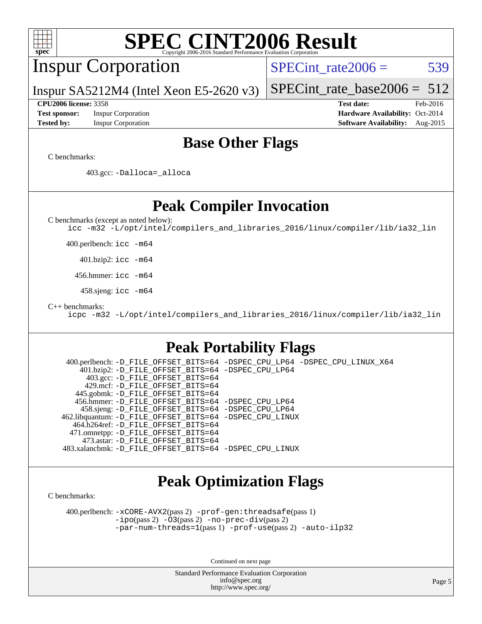| <b>SPEC CINT2006 Result</b><br>spec<br>Copyright 2006-2016 Standard Performance Evaluation Corporation                                                                                                                                                                                                                                                                                                                                                                                                                                                                                         |                                                                                                               |
|------------------------------------------------------------------------------------------------------------------------------------------------------------------------------------------------------------------------------------------------------------------------------------------------------------------------------------------------------------------------------------------------------------------------------------------------------------------------------------------------------------------------------------------------------------------------------------------------|---------------------------------------------------------------------------------------------------------------|
| <b>Inspur Corporation</b>                                                                                                                                                                                                                                                                                                                                                                                                                                                                                                                                                                      | 539<br>$SPECint_rate2006 =$                                                                                   |
| Inspur $SA5212M4$ (Intel Xeon E5-2620 v3)                                                                                                                                                                                                                                                                                                                                                                                                                                                                                                                                                      | 512<br>$SPECint_rate base2006 =$                                                                              |
| <b>CPU2006 license: 3358</b><br><b>Inspur Corporation</b><br><b>Test sponsor:</b><br><b>Tested by:</b><br><b>Inspur Corporation</b>                                                                                                                                                                                                                                                                                                                                                                                                                                                            | <b>Test date:</b><br>Feb-2016<br>Hardware Availability: Oct-2014<br><b>Software Availability:</b><br>Aug-2015 |
| <b>Base Other Flags</b>                                                                                                                                                                                                                                                                                                                                                                                                                                                                                                                                                                        |                                                                                                               |
| C benchmarks:                                                                                                                                                                                                                                                                                                                                                                                                                                                                                                                                                                                  |                                                                                                               |
| 403.gcc: -Dalloca=_alloca                                                                                                                                                                                                                                                                                                                                                                                                                                                                                                                                                                      |                                                                                                               |
| <b>Peak Compiler Invocation</b>                                                                                                                                                                                                                                                                                                                                                                                                                                                                                                                                                                |                                                                                                               |
| C benchmarks (except as noted below):<br>icc -m32 -L/opt/intel/compilers_and_libraries_2016/linux/compiler/lib/ia32_lin                                                                                                                                                                                                                                                                                                                                                                                                                                                                        |                                                                                                               |
| 400.perlbench: icc -m64                                                                                                                                                                                                                                                                                                                                                                                                                                                                                                                                                                        |                                                                                                               |
| 401.bzip2: icc -m64                                                                                                                                                                                                                                                                                                                                                                                                                                                                                                                                                                            |                                                                                                               |
| 456.hmmer: icc -m64                                                                                                                                                                                                                                                                                                                                                                                                                                                                                                                                                                            |                                                                                                               |
| 458.sjeng: icc -m64                                                                                                                                                                                                                                                                                                                                                                                                                                                                                                                                                                            |                                                                                                               |
| $C_{++}$ benchmarks:<br>icpc -m32 -L/opt/intel/compilers_and_libraries_2016/linux/compiler/lib/ia32_lin                                                                                                                                                                                                                                                                                                                                                                                                                                                                                        |                                                                                                               |
| <b>Peak Portability Flags</b>                                                                                                                                                                                                                                                                                                                                                                                                                                                                                                                                                                  |                                                                                                               |
| 400.perlbench: -D_FILE_OFFSET_BITS=64 -DSPEC_CPU_LP64 -DSPEC_CPU_LINUX_X64<br>401.bzip2: -D_FILE_OFFSET_BITS=64 -DSPEC_CPU_LP64<br>403.gcc: -D_FILE_OFFSET_BITS=64<br>429.mcf: -D_FILE_OFFSET_BITS=64<br>445.gobmk: -D_FILE_OFFSET_BITS=64<br>456.hmmer: -D_FILE_OFFSET_BITS=64 -DSPEC_CPU_LP64<br>458.sjeng: -D FILE OFFSET BITS=64 -DSPEC CPU LP64<br>462.libquantum: - D FILE OFFSET BITS=64 - DSPEC CPU LINUX<br>464.h264ref: -D_FILE_OFFSET_BITS=64<br>471.omnetpp: -D_FILE_OFFSET_BITS=64<br>473.astar: -D FILE OFFSET BITS=64<br>483.xalancbmk: -D_FILE_OFFSET_BITS=64 -DSPEC_CPU_LINUX |                                                                                                               |
| <b>Peak Optimization Flags</b>                                                                                                                                                                                                                                                                                                                                                                                                                                                                                                                                                                 |                                                                                                               |
| C benchmarks:                                                                                                                                                                                                                                                                                                                                                                                                                                                                                                                                                                                  |                                                                                                               |
| 400.perlbench: -xCORE-AVX2(pass 2) -prof-gen: threadsafe(pass 1)<br>$-ipo(pass 2)$ $-03(pass 2)$ $-no-prec-div(pass 2)$<br>-par-num-threads=1(pass 1) -prof-use(pass 2) -auto-ilp32                                                                                                                                                                                                                                                                                                                                                                                                            |                                                                                                               |
| Continued on next page                                                                                                                                                                                                                                                                                                                                                                                                                                                                                                                                                                         |                                                                                                               |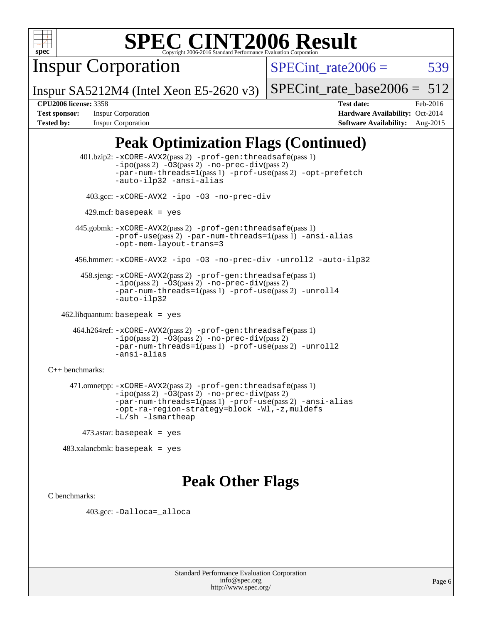

Inspur Corporation

SPECint rate $2006 = 539$ 

Inspur SA5212M4 (Intel Xeon E5-2620 v3)

[SPECint\\_rate\\_base2006 =](http://www.spec.org/auto/cpu2006/Docs/result-fields.html#SPECintratebase2006)  $512$ 

**[CPU2006 license:](http://www.spec.org/auto/cpu2006/Docs/result-fields.html#CPU2006license)** 3358 **[Test date:](http://www.spec.org/auto/cpu2006/Docs/result-fields.html#Testdate)** Feb-2016 **[Test sponsor:](http://www.spec.org/auto/cpu2006/Docs/result-fields.html#Testsponsor)** Inspur Corporation **[Hardware Availability:](http://www.spec.org/auto/cpu2006/Docs/result-fields.html#HardwareAvailability)** Oct-2014 **[Tested by:](http://www.spec.org/auto/cpu2006/Docs/result-fields.html#Testedby)** Inspur Corporation **[Software Availability:](http://www.spec.org/auto/cpu2006/Docs/result-fields.html#SoftwareAvailability)** Aug-2015

# **[Peak Optimization Flags \(Continued\)](http://www.spec.org/auto/cpu2006/Docs/result-fields.html#PeakOptimizationFlags)**

 401.bzip2: [-xCORE-AVX2](http://www.spec.org/cpu2006/results/res2016q1/cpu2006-20160307-39061.flags.html#user_peakPASS2_CFLAGSPASS2_LDCFLAGS401_bzip2_f-xAVX2_5f5fc0cbe2c9f62c816d3e45806c70d7)(pass 2) [-prof-gen:threadsafe](http://www.spec.org/cpu2006/results/res2016q1/cpu2006-20160307-39061.flags.html#user_peakPASS1_CFLAGSPASS1_LDCFLAGS401_bzip2_prof_gen_21a26eb79f378b550acd7bec9fe4467a)(pass 1)  $-i\text{po}(pass 2) -03(pass 2) -no-prec-div(pass 2)$  $-i\text{po}(pass 2) -03(pass 2) -no-prec-div(pass 2)$  $-i\text{po}(pass 2) -03(pass 2) -no-prec-div(pass 2)$ [-par-num-threads=1](http://www.spec.org/cpu2006/results/res2016q1/cpu2006-20160307-39061.flags.html#user_peakPASS1_CFLAGSPASS1_LDCFLAGS401_bzip2_par_num_threads_786a6ff141b4e9e90432e998842df6c2)(pass 1) [-prof-use](http://www.spec.org/cpu2006/results/res2016q1/cpu2006-20160307-39061.flags.html#user_peakPASS2_CFLAGSPASS2_LDCFLAGS401_bzip2_prof_use_bccf7792157ff70d64e32fe3e1250b55)(pass 2) [-opt-prefetch](http://www.spec.org/cpu2006/results/res2016q1/cpu2006-20160307-39061.flags.html#user_peakCOPTIMIZE401_bzip2_f-opt-prefetch) [-auto-ilp32](http://www.spec.org/cpu2006/results/res2016q1/cpu2006-20160307-39061.flags.html#user_peakCOPTIMIZE401_bzip2_f-auto-ilp32) [-ansi-alias](http://www.spec.org/cpu2006/results/res2016q1/cpu2006-20160307-39061.flags.html#user_peakCOPTIMIZE401_bzip2_f-ansi-alias) 403.gcc: [-xCORE-AVX2](http://www.spec.org/cpu2006/results/res2016q1/cpu2006-20160307-39061.flags.html#user_peakCOPTIMIZE403_gcc_f-xAVX2_5f5fc0cbe2c9f62c816d3e45806c70d7) [-ipo](http://www.spec.org/cpu2006/results/res2016q1/cpu2006-20160307-39061.flags.html#user_peakCOPTIMIZE403_gcc_f-ipo) [-O3](http://www.spec.org/cpu2006/results/res2016q1/cpu2006-20160307-39061.flags.html#user_peakCOPTIMIZE403_gcc_f-O3) [-no-prec-div](http://www.spec.org/cpu2006/results/res2016q1/cpu2006-20160307-39061.flags.html#user_peakCOPTIMIZE403_gcc_f-no-prec-div)  $429$ .mcf: basepeak = yes 445.gobmk: [-xCORE-AVX2](http://www.spec.org/cpu2006/results/res2016q1/cpu2006-20160307-39061.flags.html#user_peakPASS2_CFLAGSPASS2_LDCFLAGS445_gobmk_f-xAVX2_5f5fc0cbe2c9f62c816d3e45806c70d7)(pass 2) [-prof-gen:threadsafe](http://www.spec.org/cpu2006/results/res2016q1/cpu2006-20160307-39061.flags.html#user_peakPASS1_CFLAGSPASS1_LDCFLAGS445_gobmk_prof_gen_21a26eb79f378b550acd7bec9fe4467a)(pass 1) [-prof-use](http://www.spec.org/cpu2006/results/res2016q1/cpu2006-20160307-39061.flags.html#user_peakPASS2_CFLAGSPASS2_LDCFLAGS445_gobmk_prof_use_bccf7792157ff70d64e32fe3e1250b55)(pass 2) [-par-num-threads=1](http://www.spec.org/cpu2006/results/res2016q1/cpu2006-20160307-39061.flags.html#user_peakPASS1_CFLAGSPASS1_LDCFLAGS445_gobmk_par_num_threads_786a6ff141b4e9e90432e998842df6c2)(pass 1) [-ansi-alias](http://www.spec.org/cpu2006/results/res2016q1/cpu2006-20160307-39061.flags.html#user_peakCOPTIMIZE445_gobmk_f-ansi-alias) [-opt-mem-layout-trans=3](http://www.spec.org/cpu2006/results/res2016q1/cpu2006-20160307-39061.flags.html#user_peakCOPTIMIZE445_gobmk_f-opt-mem-layout-trans_a7b82ad4bd7abf52556d4961a2ae94d5) 456.hmmer: [-xCORE-AVX2](http://www.spec.org/cpu2006/results/res2016q1/cpu2006-20160307-39061.flags.html#user_peakCOPTIMIZE456_hmmer_f-xAVX2_5f5fc0cbe2c9f62c816d3e45806c70d7) [-ipo](http://www.spec.org/cpu2006/results/res2016q1/cpu2006-20160307-39061.flags.html#user_peakCOPTIMIZE456_hmmer_f-ipo) [-O3](http://www.spec.org/cpu2006/results/res2016q1/cpu2006-20160307-39061.flags.html#user_peakCOPTIMIZE456_hmmer_f-O3) [-no-prec-div](http://www.spec.org/cpu2006/results/res2016q1/cpu2006-20160307-39061.flags.html#user_peakCOPTIMIZE456_hmmer_f-no-prec-div) [-unroll2](http://www.spec.org/cpu2006/results/res2016q1/cpu2006-20160307-39061.flags.html#user_peakCOPTIMIZE456_hmmer_f-unroll_784dae83bebfb236979b41d2422d7ec2) [-auto-ilp32](http://www.spec.org/cpu2006/results/res2016q1/cpu2006-20160307-39061.flags.html#user_peakCOPTIMIZE456_hmmer_f-auto-ilp32) 458.sjeng: [-xCORE-AVX2](http://www.spec.org/cpu2006/results/res2016q1/cpu2006-20160307-39061.flags.html#user_peakPASS2_CFLAGSPASS2_LDCFLAGS458_sjeng_f-xAVX2_5f5fc0cbe2c9f62c816d3e45806c70d7)(pass 2) [-prof-gen:threadsafe](http://www.spec.org/cpu2006/results/res2016q1/cpu2006-20160307-39061.flags.html#user_peakPASS1_CFLAGSPASS1_LDCFLAGS458_sjeng_prof_gen_21a26eb79f378b550acd7bec9fe4467a)(pass 1) [-ipo](http://www.spec.org/cpu2006/results/res2016q1/cpu2006-20160307-39061.flags.html#user_peakPASS2_CFLAGSPASS2_LDCFLAGS458_sjeng_f-ipo)(pass 2) [-O3](http://www.spec.org/cpu2006/results/res2016q1/cpu2006-20160307-39061.flags.html#user_peakPASS2_CFLAGSPASS2_LDCFLAGS458_sjeng_f-O3)(pass 2) [-no-prec-div](http://www.spec.org/cpu2006/results/res2016q1/cpu2006-20160307-39061.flags.html#user_peakPASS2_CFLAGSPASS2_LDCFLAGS458_sjeng_f-no-prec-div)(pass 2) [-par-num-threads=1](http://www.spec.org/cpu2006/results/res2016q1/cpu2006-20160307-39061.flags.html#user_peakPASS1_CFLAGSPASS1_LDCFLAGS458_sjeng_par_num_threads_786a6ff141b4e9e90432e998842df6c2)(pass 1) [-prof-use](http://www.spec.org/cpu2006/results/res2016q1/cpu2006-20160307-39061.flags.html#user_peakPASS2_CFLAGSPASS2_LDCFLAGS458_sjeng_prof_use_bccf7792157ff70d64e32fe3e1250b55)(pass 2) [-unroll4](http://www.spec.org/cpu2006/results/res2016q1/cpu2006-20160307-39061.flags.html#user_peakCOPTIMIZE458_sjeng_f-unroll_4e5e4ed65b7fd20bdcd365bec371b81f) [-auto-ilp32](http://www.spec.org/cpu2006/results/res2016q1/cpu2006-20160307-39061.flags.html#user_peakCOPTIMIZE458_sjeng_f-auto-ilp32) 462.libquantum: basepeak = yes 464.h264ref: [-xCORE-AVX2](http://www.spec.org/cpu2006/results/res2016q1/cpu2006-20160307-39061.flags.html#user_peakPASS2_CFLAGSPASS2_LDCFLAGS464_h264ref_f-xAVX2_5f5fc0cbe2c9f62c816d3e45806c70d7)(pass 2) [-prof-gen:threadsafe](http://www.spec.org/cpu2006/results/res2016q1/cpu2006-20160307-39061.flags.html#user_peakPASS1_CFLAGSPASS1_LDCFLAGS464_h264ref_prof_gen_21a26eb79f378b550acd7bec9fe4467a)(pass 1) [-ipo](http://www.spec.org/cpu2006/results/res2016q1/cpu2006-20160307-39061.flags.html#user_peakPASS2_CFLAGSPASS2_LDCFLAGS464_h264ref_f-ipo)(pass 2) [-O3](http://www.spec.org/cpu2006/results/res2016q1/cpu2006-20160307-39061.flags.html#user_peakPASS2_CFLAGSPASS2_LDCFLAGS464_h264ref_f-O3)(pass 2) [-no-prec-div](http://www.spec.org/cpu2006/results/res2016q1/cpu2006-20160307-39061.flags.html#user_peakPASS2_CFLAGSPASS2_LDCFLAGS464_h264ref_f-no-prec-div)(pass 2) [-par-num-threads=1](http://www.spec.org/cpu2006/results/res2016q1/cpu2006-20160307-39061.flags.html#user_peakPASS1_CFLAGSPASS1_LDCFLAGS464_h264ref_par_num_threads_786a6ff141b4e9e90432e998842df6c2)(pass 1) [-prof-use](http://www.spec.org/cpu2006/results/res2016q1/cpu2006-20160307-39061.flags.html#user_peakPASS2_CFLAGSPASS2_LDCFLAGS464_h264ref_prof_use_bccf7792157ff70d64e32fe3e1250b55)(pass 2) [-unroll2](http://www.spec.org/cpu2006/results/res2016q1/cpu2006-20160307-39061.flags.html#user_peakCOPTIMIZE464_h264ref_f-unroll_784dae83bebfb236979b41d2422d7ec2) [-ansi-alias](http://www.spec.org/cpu2006/results/res2016q1/cpu2006-20160307-39061.flags.html#user_peakCOPTIMIZE464_h264ref_f-ansi-alias) [C++ benchmarks:](http://www.spec.org/auto/cpu2006/Docs/result-fields.html#CXXbenchmarks) 471.omnetpp: [-xCORE-AVX2](http://www.spec.org/cpu2006/results/res2016q1/cpu2006-20160307-39061.flags.html#user_peakPASS2_CXXFLAGSPASS2_LDCXXFLAGS471_omnetpp_f-xAVX2_5f5fc0cbe2c9f62c816d3e45806c70d7)(pass 2) [-prof-gen:threadsafe](http://www.spec.org/cpu2006/results/res2016q1/cpu2006-20160307-39061.flags.html#user_peakPASS1_CXXFLAGSPASS1_LDCXXFLAGS471_omnetpp_prof_gen_21a26eb79f378b550acd7bec9fe4467a)(pass 1)  $-ipo(pass 2) -\overline{03(pass 2)}$  $-ipo(pass 2) -\overline{03(pass 2)}$  [-no-prec-div](http://www.spec.org/cpu2006/results/res2016q1/cpu2006-20160307-39061.flags.html#user_peakPASS2_CXXFLAGSPASS2_LDCXXFLAGS471_omnetpp_f-no-prec-div)(pass 2) [-par-num-threads=1](http://www.spec.org/cpu2006/results/res2016q1/cpu2006-20160307-39061.flags.html#user_peakPASS1_CXXFLAGSPASS1_LDCXXFLAGS471_omnetpp_par_num_threads_786a6ff141b4e9e90432e998842df6c2)(pass 1) [-prof-use](http://www.spec.org/cpu2006/results/res2016q1/cpu2006-20160307-39061.flags.html#user_peakPASS2_CXXFLAGSPASS2_LDCXXFLAGS471_omnetpp_prof_use_bccf7792157ff70d64e32fe3e1250b55)(pass 2) [-ansi-alias](http://www.spec.org/cpu2006/results/res2016q1/cpu2006-20160307-39061.flags.html#user_peakCXXOPTIMIZE471_omnetpp_f-ansi-alias) [-opt-ra-region-strategy=block](http://www.spec.org/cpu2006/results/res2016q1/cpu2006-20160307-39061.flags.html#user_peakCXXOPTIMIZE471_omnetpp_f-opt-ra-region-strategy_a0a37c372d03933b2a18d4af463c1f69) [-Wl,-z,muldefs](http://www.spec.org/cpu2006/results/res2016q1/cpu2006-20160307-39061.flags.html#user_peakEXTRA_LDFLAGS471_omnetpp_link_force_multiple1_74079c344b956b9658436fd1b6dd3a8a) [-L/sh -lsmartheap](http://www.spec.org/cpu2006/results/res2016q1/cpu2006-20160307-39061.flags.html#user_peakEXTRA_LIBS471_omnetpp_SmartHeap_32f6c82aa1ed9c52345d30cf6e4a0499) 473.astar: basepeak = yes

483.xalancbmk: basepeak = yes

## **[Peak Other Flags](http://www.spec.org/auto/cpu2006/Docs/result-fields.html#PeakOtherFlags)**

[C benchmarks](http://www.spec.org/auto/cpu2006/Docs/result-fields.html#Cbenchmarks):

403.gcc: [-Dalloca=\\_alloca](http://www.spec.org/cpu2006/results/res2016q1/cpu2006-20160307-39061.flags.html#b403.gcc_peakEXTRA_CFLAGS_Dalloca_be3056838c12de2578596ca5467af7f3)